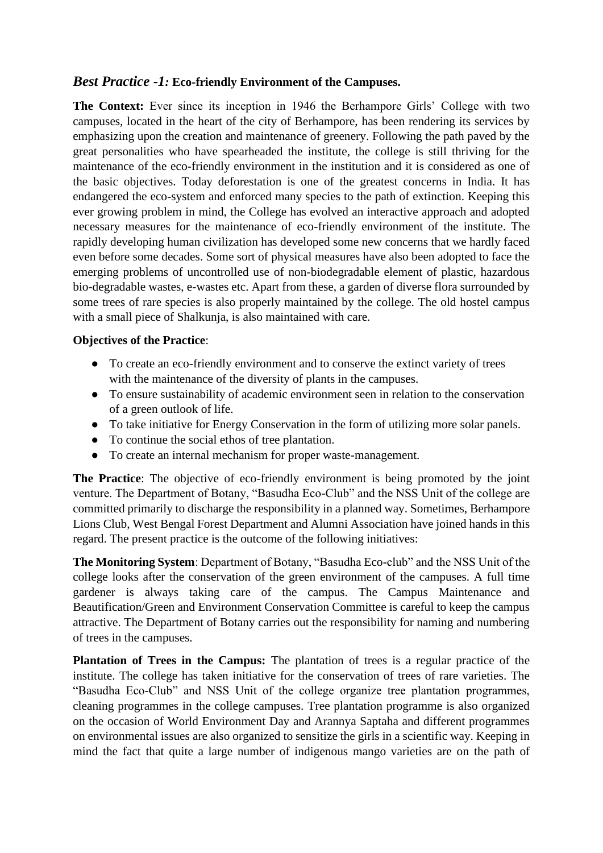## *Best Practice -1:* **Eco-friendly Environment of the Campuses.**

**The Context:** Ever since its inception in 1946 the Berhampore Girls' College with two campuses, located in the heart of the city of Berhampore, has been rendering its services by emphasizing upon the creation and maintenance of greenery. Following the path paved by the great personalities who have spearheaded the institute, the college is still thriving for the maintenance of the eco-friendly environment in the institution and it is considered as one of the basic objectives. Today deforestation is one of the greatest concerns in India. It has endangered the eco-system and enforced many species to the path of extinction. Keeping this ever growing problem in mind, the College has evolved an interactive approach and adopted necessary measures for the maintenance of eco-friendly environment of the institute. The rapidly developing human civilization has developed some new concerns that we hardly faced even before some decades. Some sort of physical measures have also been adopted to face the emerging problems of uncontrolled use of non-biodegradable element of plastic, hazardous bio-degradable wastes, e-wastes etc. Apart from these, a garden of diverse flora surrounded by some trees of rare species is also properly maintained by the college. The old hostel campus with a small piece of Shalkunja, is also maintained with care.

### **Objectives of the Practice**:

- To create an eco-friendly environment and to conserve the extinct variety of trees with the maintenance of the diversity of plants in the campuses.
- To ensure sustainability of academic environment seen in relation to the conservation of a green outlook of life.
- To take initiative for Energy Conservation in the form of utilizing more solar panels.
- To continue the social ethos of tree plantation.
- To create an internal mechanism for proper waste-management.

**The Practice**: The objective of eco-friendly environment is being promoted by the joint venture. The Department of Botany, "Basudha Eco-Club" and the NSS Unit of the college are committed primarily to discharge the responsibility in a planned way. Sometimes, Berhampore Lions Club, West Bengal Forest Department and Alumni Association have joined hands in this regard. The present practice is the outcome of the following initiatives:

**The Monitoring System**: Department of Botany, "Basudha Eco-club" and the NSS Unit of the college looks after the conservation of the green environment of the campuses. A full time gardener is always taking care of the campus. The Campus Maintenance and Beautification/Green and Environment Conservation Committee is careful to keep the campus attractive. The Department of Botany carries out the responsibility for naming and numbering of trees in the campuses.

**Plantation of Trees in the Campus:** The plantation of trees is a regular practice of the institute. The college has taken initiative for the conservation of trees of rare varieties. The "Basudha Eco-Club" and NSS Unit of the college organize tree plantation programmes, cleaning programmes in the college campuses. Tree plantation programme is also organized on the occasion of World Environment Day and Arannya Saptaha and different programmes on environmental issues are also organized to sensitize the girls in a scientific way. Keeping in mind the fact that quite a large number of indigenous mango varieties are on the path of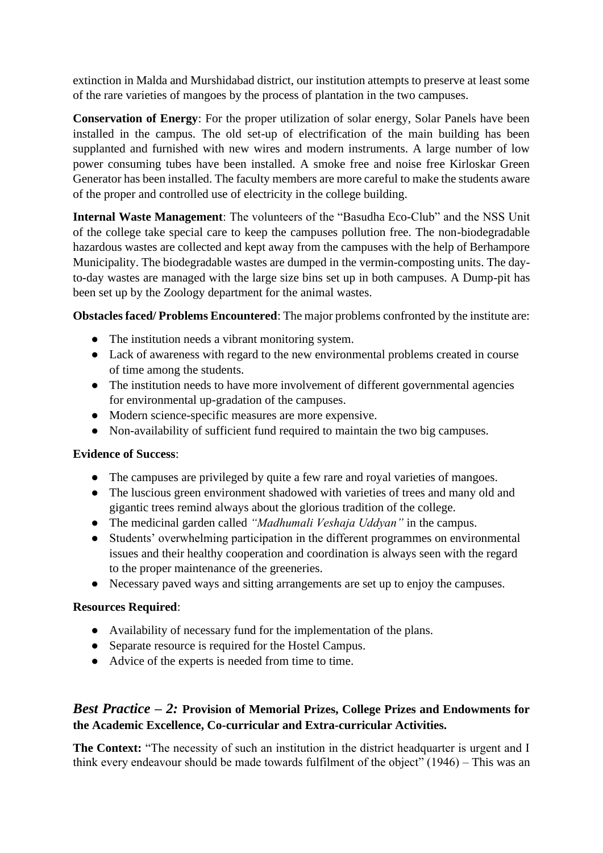extinction in Malda and Murshidabad district, our institution attempts to preserve at least some of the rare varieties of mangoes by the process of plantation in the two campuses.

**Conservation of Energy**: For the proper utilization of solar energy, Solar Panels have been installed in the campus. The old set-up of electrification of the main building has been supplanted and furnished with new wires and modern instruments. A large number of low power consuming tubes have been installed. A smoke free and noise free Kirloskar Green Generator has been installed. The faculty members are more careful to make the students aware of the proper and controlled use of electricity in the college building.

**Internal Waste Management**: The volunteers of the "Basudha Eco-Club" and the NSS Unit of the college take special care to keep the campuses pollution free. The non-biodegradable hazardous wastes are collected and kept away from the campuses with the help of Berhampore Municipality. The biodegradable wastes are dumped in the vermin-composting units. The dayto-day wastes are managed with the large size bins set up in both campuses. A Dump-pit has been set up by the Zoology department for the animal wastes.

**Obstacles faced/ Problems Encountered**: The major problems confronted by the institute are:

- The institution needs a vibrant monitoring system.
- Lack of awareness with regard to the new environmental problems created in course of time among the students.
- The institution needs to have more involvement of different governmental agencies for environmental up-gradation of the campuses.
- Modern science-specific measures are more expensive.
- Non-availability of sufficient fund required to maintain the two big campuses.

## **Evidence of Success**:

- The campuses are privileged by quite a few rare and royal varieties of mangoes.
- The luscious green environment shadowed with varieties of trees and many old and gigantic trees remind always about the glorious tradition of the college.
- The medicinal garden called *"Madhumali Veshaja Uddyan"* in the campus.
- Students' overwhelming participation in the different programmes on environmental issues and their healthy cooperation and coordination is always seen with the regard to the proper maintenance of the greeneries.
- Necessary paved ways and sitting arrangements are set up to enjoy the campuses.

# **Resources Required**:

- Availability of necessary fund for the implementation of the plans.
- Separate resource is required for the Hostel Campus.
- Advice of the experts is needed from time to time.

# *Best Practice – 2:* **Provision of Memorial Prizes, College Prizes and Endowments for the Academic Excellence, Co-curricular and Extra-curricular Activities.**

**The Context:** "The necessity of such an institution in the district headquarter is urgent and I think every endeavour should be made towards fulfilment of the object" (1946) – This was an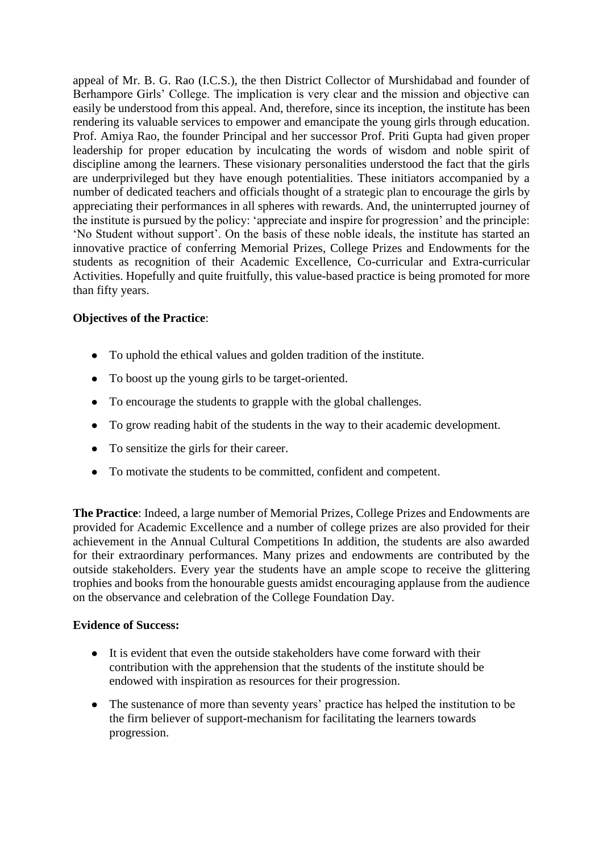appeal of Mr. B. G. Rao (I.C.S.), the then District Collector of Murshidabad and founder of Berhampore Girls' College. The implication is very clear and the mission and objective can easily be understood from this appeal. And, therefore, since its inception, the institute has been rendering its valuable services to empower and emancipate the young girls through education. Prof. Amiya Rao, the founder Principal and her successor Prof. Priti Gupta had given proper leadership for proper education by inculcating the words of wisdom and noble spirit of discipline among the learners. These visionary personalities understood the fact that the girls are underprivileged but they have enough potentialities. These initiators accompanied by a number of dedicated teachers and officials thought of a strategic plan to encourage the girls by appreciating their performances in all spheres with rewards. And, the uninterrupted journey of the institute is pursued by the policy: 'appreciate and inspire for progression' and the principle: 'No Student without support'. On the basis of these noble ideals, the institute has started an innovative practice of conferring Memorial Prizes, College Prizes and Endowments for the students as recognition of their Academic Excellence, Co-curricular and Extra-curricular Activities. Hopefully and quite fruitfully, this value-based practice is being promoted for more than fifty years.

## **Objectives of the Practice**:

- To uphold the ethical values and golden tradition of the institute.
- To boost up the young girls to be target-oriented.
- To encourage the students to grapple with the global challenges.
- To grow reading habit of the students in the way to their academic development.
- To sensitize the girls for their career.
- To motivate the students to be committed, confident and competent.

**The Practice**: Indeed, a large number of Memorial Prizes, College Prizes and Endowments are provided for Academic Excellence and a number of college prizes are also provided for their achievement in the Annual Cultural Competitions In addition, the students are also awarded for their extraordinary performances. Many prizes and endowments are contributed by the outside stakeholders. Every year the students have an ample scope to receive the glittering trophies and books from the honourable guests amidst encouraging applause from the audience on the observance and celebration of the College Foundation Day.

#### **Evidence of Success:**

- It is evident that even the outside stakeholders have come forward with their contribution with the apprehension that the students of the institute should be endowed with inspiration as resources for their progression.
- The sustenance of more than seventy years' practice has helped the institution to be the firm believer of support-mechanism for facilitating the learners towards progression.